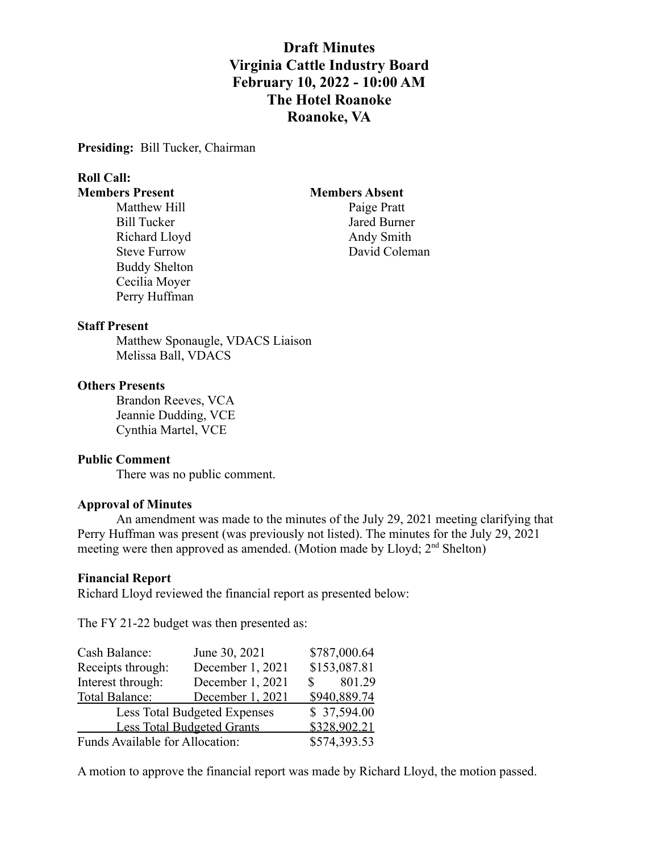# **Draft Minutes Virginia Cattle Industry Board February 10, 2022 - 10:00 AM The Hotel Roanoke Roanoke, VA**

**Presiding:** Bill Tucker, Chairman

# **Roll Call:**

Bill Tucker Jared Burner Richard Lloyd Andy Smith Buddy Shelton Cecilia Moyer Perry Huffman

### **Members Present Members Absent**

Matthew Hill Paige Pratt Steve Furrow David Coleman

### **Staff Present**

Matthew Sponaugle, VDACS Liaison Melissa Ball, VDACS

#### **Others Presents**

Brandon Reeves, VCA Jeannie Dudding, VCE Cynthia Martel, VCE

### **Public Comment**

There was no public comment.

### **Approval of Minutes**

An amendment was made to the minutes of the July 29, 2021 meeting clarifying that Perry Huffman was present (was previously not listed). The minutes for the July 29, 2021 meeting were then approved as amended. (Motion made by Lloyd;  $2<sup>nd</sup>$  Shelton)

#### **Financial Report**

Richard Lloyd reviewed the financial report as presented below:

The FY 21-22 budget was then presented as:

| Cash Balance:                       | June 30, 2021    |              | \$787,000.64 |
|-------------------------------------|------------------|--------------|--------------|
| Receipts through:                   | December 1, 2021 |              | \$153,087.81 |
| Interest through:                   | December 1, 2021 | $\mathbf S$  | 801.29       |
| Total Balance:                      | December 1, 2021 |              | \$940,889.74 |
| <b>Less Total Budgeted Expenses</b> |                  |              | \$37,594.00  |
| <b>Less Total Budgeted Grants</b>   |                  | \$328,902.21 |              |
| Funds Available for Allocation:     |                  |              | \$574,393.53 |

A motion to approve the financial report was made by Richard Lloyd, the motion passed.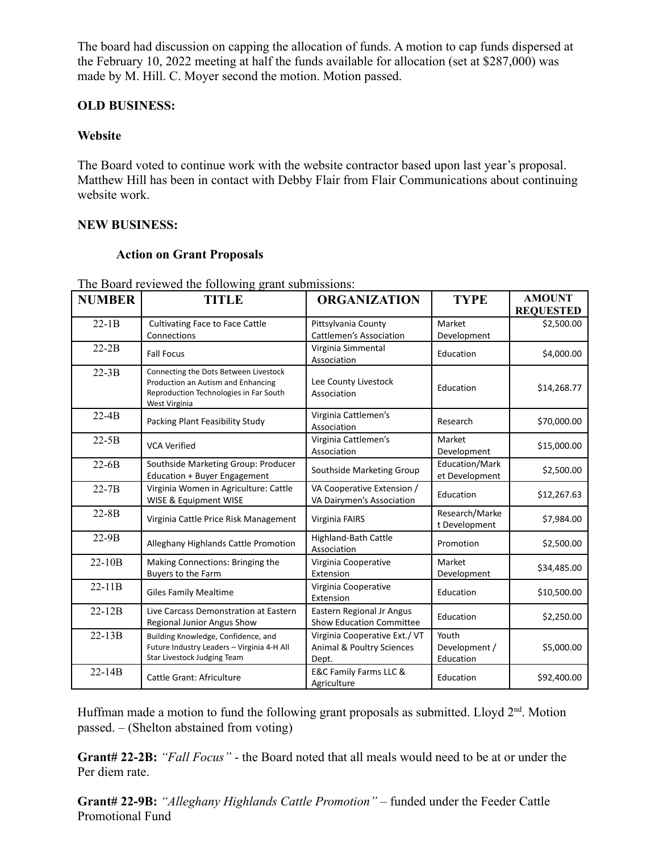The board had discussion on capping the allocation of funds. A motion to cap funds dispersed at the February 10, 2022 meeting at half the funds available for allocation (set at \$287,000) was made by M. Hill. C. Moyer second the motion. Motion passed.

## **OLD BUSINESS:**

### **Website**

The Board voted to continue work with the website contractor based upon last year's proposal. Matthew Hill has been in contact with Debby Flair from Flair Communications about continuing website work.

### **NEW BUSINESS:**

### **Action on Grant Proposals**

| <b>NUMBER</b> | <b>TITLE</b>                                                                                                                           | <b>ORGANIZATION</b>                                                | <b>TYPE</b>                         | <b>AMOUNT</b><br><b>REQUESTED</b> |
|---------------|----------------------------------------------------------------------------------------------------------------------------------------|--------------------------------------------------------------------|-------------------------------------|-----------------------------------|
| $22-1B$       | <b>Cultivating Face to Face Cattle</b><br>Connections                                                                                  | Pittsylvania County<br><b>Cattlemen's Association</b>              | Market<br>Development               | \$2,500.00                        |
| $22-2B$       | <b>Fall Focus</b>                                                                                                                      | Virginia Simmental<br>Association                                  | Education                           | \$4,000.00                        |
| $22-3B$       | Connecting the Dots Between Livestock<br>Production an Autism and Enhancing<br>Reproduction Technologies in Far South<br>West Virginia | Lee County Livestock<br>Association                                | Education                           | \$14,268.77                       |
| $22-4B$       | Packing Plant Feasibility Study                                                                                                        | Virginia Cattlemen's<br>Association                                | Research                            | \$70,000.00                       |
| $22-5B$       | <b>VCA Verified</b>                                                                                                                    | Virginia Cattlemen's<br>Association                                | Market<br>Development               | \$15,000.00                       |
| $22-6B$       | Southside Marketing Group: Producer<br>Education + Buyer Engagement                                                                    | Southside Marketing Group                                          | Education/Mark<br>et Development    | \$2,500.00                        |
| $22 - 7B$     | Virginia Women in Agriculture: Cattle<br>WISE & Equipment WISE                                                                         | VA Cooperative Extension /<br>VA Dairymen's Association            | Education                           | \$12,267.63                       |
| $22 - 8B$     | Virginia Cattle Price Risk Management                                                                                                  | Virginia FAIRS                                                     | Research/Marke<br>t Development     | \$7,984.00                        |
| $22-9B$       | Alleghany Highlands Cattle Promotion                                                                                                   | Highland-Bath Cattle<br>Association                                | Promotion                           | \$2,500.00                        |
| $22 - 10B$    | Making Connections: Bringing the<br>Buyers to the Farm                                                                                 | Virginia Cooperative<br>Extension                                  | Market<br>Development               | \$34,485.00                       |
| $22-11B$      | <b>Giles Family Mealtime</b>                                                                                                           | Virginia Cooperative<br>Extension                                  | Education                           | \$10,500.00                       |
| $22 - 12B$    | Live Carcass Demonstration at Eastern<br>Regional Junior Angus Show                                                                    | Eastern Regional Jr Angus<br><b>Show Education Committee</b>       | Education                           | \$2,250.00                        |
| $22 - 13B$    | Building Knowledge, Confidence, and<br>Future Industry Leaders - Virginia 4-H All<br>Star Livestock Judging Team                       | Virginia Cooperative Ext./VT<br>Animal & Poultry Sciences<br>Dept. | Youth<br>Development /<br>Education | \$5,000.00                        |
| $22 - 14B$    | Cattle Grant: Africulture                                                                                                              | E&C Family Farms LLC &<br>Agriculture                              | Education                           | \$92,400.00                       |

The Board reviewed the following grant submissions:

Huffman made a motion to fund the following grant proposals as submitted. Lloyd 2<sup>nd</sup>. Motion passed. – (Shelton abstained from voting)

**Grant# 22-2B:** *"Fall Focus"* - the Board noted that all meals would need to be at or under the Per diem rate.

**Grant# 22-9B:** *"Alleghany Highlands Cattle Promotion" –* funded under the Feeder Cattle Promotional Fund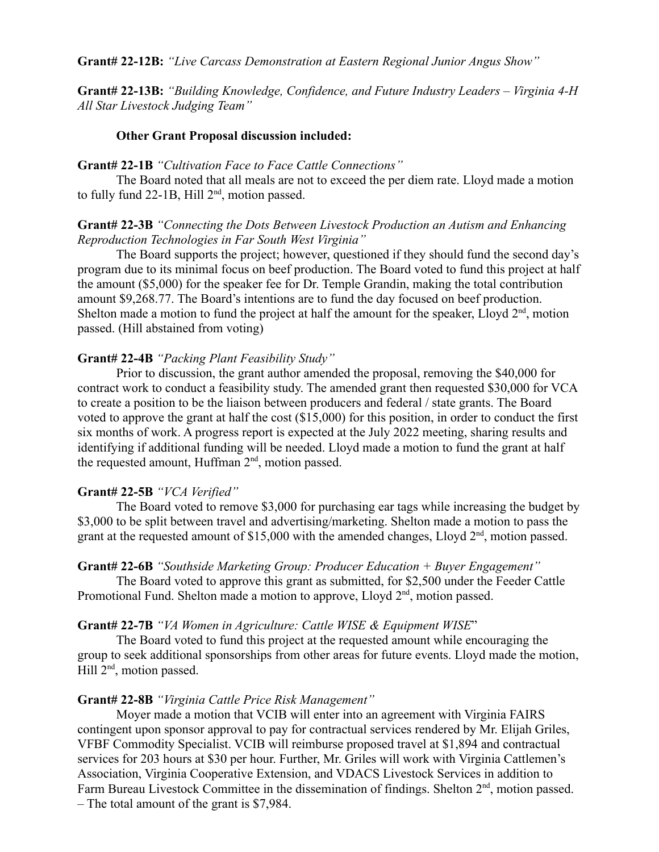**Grant# 22-13B:** *"Building Knowledge, Confidence, and Future Industry Leaders – Virginia 4-H All Star Livestock Judging Team"*

#### **Other Grant Proposal discussion included:**

#### **Grant# 22-1B** *"Cultivation Face to Face Cattle Connections"*

The Board noted that all meals are not to exceed the per diem rate. Lloyd made a motion to fully fund  $22-1B$ , Hill  $2<sup>nd</sup>$ , motion passed.

### **Grant# 22-3B** *"Connecting the Dots Between Livestock Production an Autism and Enhancing Reproduction Technologies in Far South West Virginia"*

The Board supports the project; however, questioned if they should fund the second day's program due to its minimal focus on beef production. The Board voted to fund this project at half the amount (\$5,000) for the speaker fee for Dr. Temple Grandin, making the total contribution amount \$9,268.77. The Board's intentions are to fund the day focused on beef production. Shelton made a motion to fund the project at half the amount for the speaker, Lloyd  $2<sup>nd</sup>$ , motion passed. (Hill abstained from voting)

#### **Grant# 22-4B** *"Packing Plant Feasibility Study"*

Prior to discussion, the grant author amended the proposal, removing the \$40,000 for contract work to conduct a feasibility study. The amended grant then requested \$30,000 for VCA to create a position to be the liaison between producers and federal / state grants. The Board voted to approve the grant at half the cost (\$15,000) for this position, in order to conduct the first six months of work. A progress report is expected at the July 2022 meeting, sharing results and identifying if additional funding will be needed. Lloyd made a motion to fund the grant at half the requested amount, Huffman 2<sup>nd</sup>, motion passed.

#### **Grant# 22-5B** *"VCA Verified"*

The Board voted to remove \$3,000 for purchasing ear tags while increasing the budget by \$3,000 to be split between travel and advertising/marketing. Shelton made a motion to pass the grant at the requested amount of \$15,000 with the amended changes, Lloyd  $2<sup>nd</sup>$ , motion passed.

#### **Grant# 22-6B** *"Southside Marketing Group: Producer Education + Buyer Engagement"*

The Board voted to approve this grant as submitted, for \$2,500 under the Feeder Cattle Promotional Fund. Shelton made a motion to approve, Lloyd 2<sup>nd</sup>, motion passed.

#### **Grant# 22-7B** *"VA Women in Agriculture: Cattle WISE & Equipment WISE*"

The Board voted to fund this project at the requested amount while encouraging the group to seek additional sponsorships from other areas for future events. Lloyd made the motion, Hill 2<sup>nd</sup>, motion passed.

#### **Grant# 22-8B** *"Virginia Cattle Price Risk Management"*

Moyer made a motion that VCIB will enter into an agreement with Virginia FAIRS contingent upon sponsor approval to pay for contractual services rendered by Mr. Elijah Griles, VFBF Commodity Specialist. VCIB will reimburse proposed travel at \$1,894 and contractual services for 203 hours at \$30 per hour. Further, Mr. Griles will work with Virginia Cattlemen's Association, Virginia Cooperative Extension, and VDACS Livestock Services in addition to Farm Bureau Livestock Committee in the dissemination of findings. Shelton 2<sup>nd</sup>, motion passed. – The total amount of the grant is \$7,984.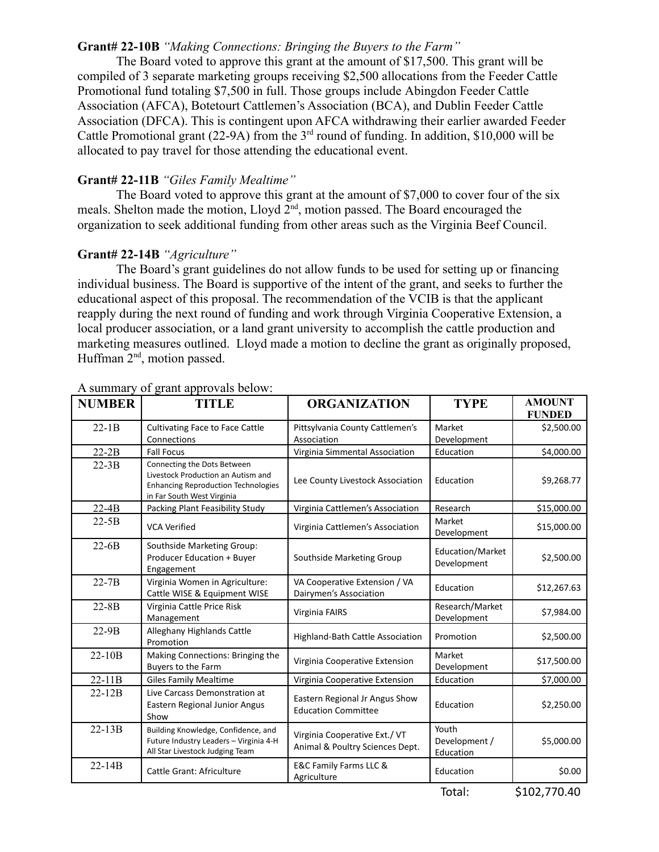### **Grant# 22-10B** *"Making Connections: Bringing the Buyers to the Farm"*

The Board voted to approve this grant at the amount of \$17,500. This grant will be compiled of 3 separate marketing groups receiving \$2,500 allocations from the Feeder Cattle Promotional fund totaling \$7,500 in full. Those groups include Abingdon Feeder Cattle Association (AFCA), Botetourt Cattlemen's Association (BCA), and Dublin Feeder Cattle Association (DFCA). This is contingent upon AFCA withdrawing their earlier awarded Feeder Cattle Promotional grant (22-9A) from the  $3<sup>rd</sup>$  round of funding. In addition, \$10,000 will be allocated to pay travel for those attending the educational event.

### **Grant# 22-11B** *"Giles Family Mealtime"*

The Board voted to approve this grant at the amount of \$7,000 to cover four of the six meals. Shelton made the motion,  $L\log d 2^{nd}$ , motion passed. The Board encouraged the organization to seek additional funding from other areas such as the Virginia Beef Council.

### **Grant# 22-14B** *"Agriculture"*

The Board's grant guidelines do not allow funds to be used for setting up or financing individual business. The Board is supportive of the intent of the grant, and seeks to further the educational aspect of this proposal. The recommendation of the VCIB is that the applicant reapply during the next round of funding and work through Virginia Cooperative Extension, a local producer association, or a land grant university to accomplish the cattle production and marketing measures outlined. Lloyd made a motion to decline the grant as originally proposed, Huffman  $2<sup>nd</sup>$ , motion passed.

| <b>NUMBER</b> | <b>TITLE</b>                                                                                                                                  | <b>ORGANIZATION</b>                                             | <b>TYPE</b>                           | <b>AMOUNT</b><br><b>FUNDED</b> |
|---------------|-----------------------------------------------------------------------------------------------------------------------------------------------|-----------------------------------------------------------------|---------------------------------------|--------------------------------|
| $22-1B$       | Cultivating Face to Face Cattle<br>Connections                                                                                                | Pittsylvania County Cattlemen's<br>Association                  | Market<br>Development                 | \$2,500.00                     |
| $22-2B$       | <b>Fall Focus</b>                                                                                                                             | Virginia Simmental Association                                  | Education                             | \$4,000.00                     |
| $22-3B$       | Connecting the Dots Between<br>Livestock Production an Autism and<br><b>Enhancing Reproduction Technologies</b><br>in Far South West Virginia | Lee County Livestock Association                                | Education                             | \$9,268.77                     |
| $22-4B$       | Packing Plant Feasibility Study                                                                                                               | Virginia Cattlemen's Association                                | Research                              | \$15,000.00                    |
| $22-5B$       | <b>VCA Verified</b>                                                                                                                           | Virginia Cattlemen's Association                                | Market<br>Development                 | \$15,000.00                    |
| $22-6B$       | Southside Marketing Group:<br>Producer Education + Buyer<br>Engagement                                                                        | Southside Marketing Group                                       | Education/Market<br>Development       | \$2,500.00                     |
| $22 - 7B$     | Virginia Women in Agriculture:<br>Cattle WISE & Equipment WISE                                                                                | VA Cooperative Extension / VA<br>Dairymen's Association         | Education                             | \$12,267.63                    |
| $22 - 8B$     | Virginia Cattle Price Risk<br>Management                                                                                                      | Virginia FAIRS                                                  | Research/Market<br><b>Development</b> | \$7,984.00                     |
| $22-9B$       | Alleghany Highlands Cattle<br>Promotion                                                                                                       | Highland-Bath Cattle Association                                | Promotion                             | \$2,500.00                     |
| $22-10B$      | Making Connections: Bringing the<br>Buyers to the Farm                                                                                        | Virginia Cooperative Extension                                  | Market<br>Development                 | \$17,500.00                    |
| $22-11B$      | <b>Giles Family Mealtime</b>                                                                                                                  | Virginia Cooperative Extension                                  | Education                             | \$7,000.00                     |
| $22 - 12B$    | Live Carcass Demonstration at<br>Eastern Regional Junior Angus<br>Show                                                                        | Eastern Regional Jr Angus Show<br><b>Education Committee</b>    | Education                             | \$2,250.00                     |
| $22-13B$      | Building Knowledge, Confidence, and<br>Future Industry Leaders - Virginia 4-H<br>All Star Livestock Judging Team                              | Virginia Cooperative Ext./VT<br>Animal & Poultry Sciences Dept. | Youth<br>Development /<br>Education   | \$5,000.00                     |
| $22 - 14B$    | Cattle Grant: Africulture                                                                                                                     | E&C Family Farms LLC &<br>Agriculture                           | Education                             | \$0.00                         |

### A summary of grant approvals below:

Total: \$102,770.40